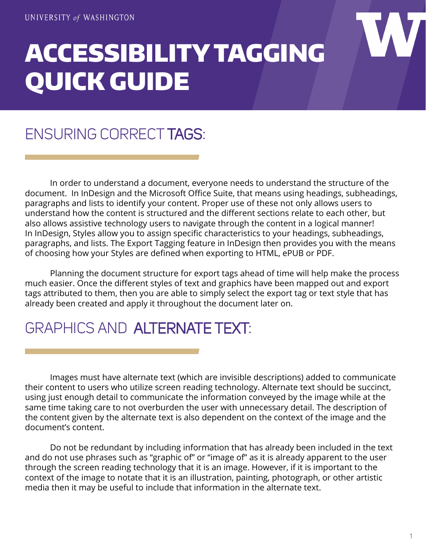# ACCESSIBILITY TAGGING QUICK GUIDE

## ENSURING CORRECT TAGS:

 In order to understand a document, everyone needs to understand the structure of the document. In InDesign and the Microsoft Office Suite, that means using headings, subheadings, paragraphs and lists to identify your content. Proper use of these not only allows users to understand how the content is structured and the different sections relate to each other, but also allows assistive technology users to navigate through the content in a logical manner! In InDesign, Styles allow you to assign specific characteristics to your headings, subheadings, paragraphs, and lists. The Export Tagging feature in InDesign then provides you with the means of choosing how your Styles are defined when exporting to HTML, ePUB or PDF.

Planning the document structure for export tags ahead of time will help make the process much easier. Once the different styles of text and graphics have been mapped out and export tags attributed to them, then you are able to simply select the export tag or text style that has already been created and apply it throughout the document later on.

#### GRAPHICS AND ALTERNATE TEXT:

Images must have alternate text (which are invisible descriptions) added to communicate their content to users who utilize screen reading technology. Alternate text should be succinct, using just enough detail to communicate the information conveyed by the image while at the same time taking care to not overburden the user with unnecessary detail. The description of the content given by the alternate text is also dependent on the context of the image and the document's content.

Do not be redundant by including information that has already been included in the text and do not use phrases such as "graphic of" or "image of" as it is already apparent to the user through the screen reading technology that it is an image. However, if it is important to the context of the image to notate that it is an illustration, painting, photograph, or other artistic media then it may be useful to include that information in the alternate text.